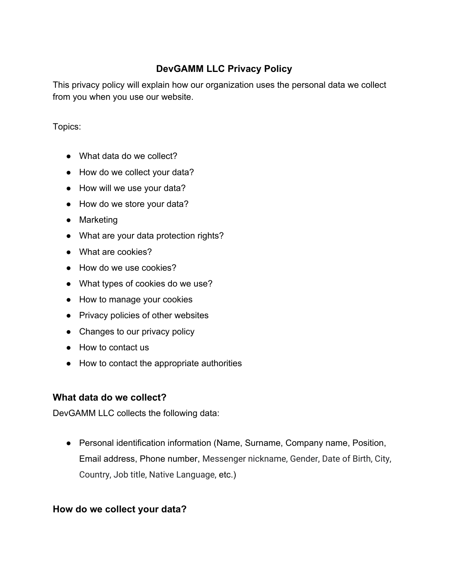# **DevGAMM LLC Privacy Policy**

This privacy policy will explain how our organization uses the personal data we collect from you when you use our website.

Topics:

- What data do we collect?
- How do we collect your data?
- How will we use your data?
- How do we store your data?
- Marketing
- What are your data protection rights?
- What are cookies?
- How do we use cookies?
- What types of cookies do we use?
- How to manage your cookies
- Privacy policies of other websites
- Changes to our privacy policy
- How to contact us
- How to contact the appropriate authorities

# **What data do we collect?**

DevGAMM LLC collects the following data:

● Personal identification information (Name, Surname, Company name, Position, Email address, Phone number, Messenger nickname, Gender, Date of Birth, City, Country, Job title, Native Language, etc.)

# **How do we collect your data?**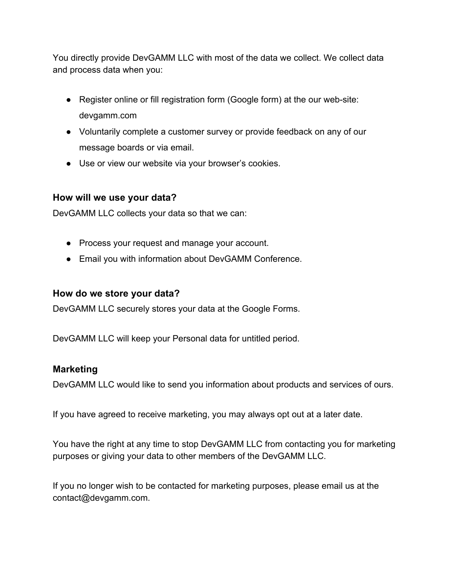You directly provide DevGAMM LLC with most of the data we collect. We collect data and process data when you:

- Register online or fill registration form (Google form) at the our web-site: devgamm.com
- Voluntarily complete a customer survey or provide feedback on any of our message boards or via email.
- Use or view our website via your browser's cookies.

# **How will we use your data?**

DevGAMM LLC collects your data so that we can:

- Process your request and manage your account.
- Email you with information about DevGAMM Conference.

#### **How do we store your data?**

DevGAMM LLC securely stores your data at the Google Forms.

DevGAMM LLC will keep your Personal data for untitled period.

#### **Marketing**

DevGAMM LLC would like to send you information about products and services of ours.

If you have agreed to receive marketing, you may always opt out at a later date.

You have the right at any time to stop DevGAMM LLC from contacting you for marketing purposes or giving your data to other members of the DevGAMM LLC.

If you no longer wish to be contacted for marketing purposes, please email us at the contact@devgamm.com.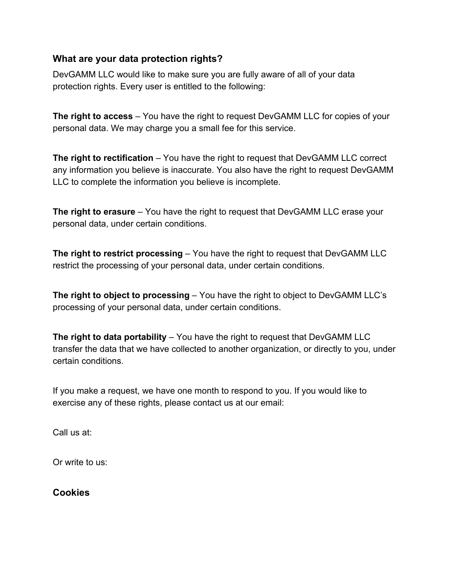# **What are your data protection rights?**

DevGAMM LLC would like to make sure you are fully aware of all of your data protection rights. Every user is entitled to the following:

**The right to access** – You have the right to request DevGAMM LLC for copies of your personal data. We may charge you a small fee for this service.

**The right to rectification** – You have the right to request that DevGAMM LLC correct any information you believe is inaccurate. You also have the right to request DevGAMM LLC to complete the information you believe is incomplete.

**The right to erasure** – You have the right to request that DevGAMM LLC erase your personal data, under certain conditions.

**The right to restrict processing** – You have the right to request that DevGAMM LLC restrict the processing of your personal data, under certain conditions.

**The right to object to processing** – You have the right to object to DevGAMM LLC's processing of your personal data, under certain conditions.

**The right to data portability** – You have the right to request that DevGAMM LLC transfer the data that we have collected to another organization, or directly to you, under certain conditions.

If you make a request, we have one month to respond to you. If you would like to exercise any of these rights, please contact us at our email:

Call us at:

Or write to us:

**Cookies**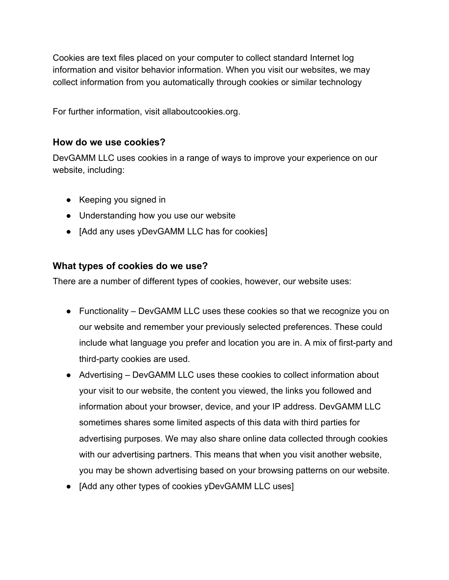Cookies are text files placed on your computer to collect standard Internet log information and visitor behavior information. When you visit our websites, we may collect information from you automatically through cookies or similar technology

For further information, visit allaboutcookies.org.

### **How do we use cookies?**

DevGAMM LLC uses cookies in a range of ways to improve your experience on our website, including:

- Keeping you signed in
- Understanding how you use our website
- [Add any uses yDevGAMM LLC has for cookies]

# **What types of cookies do we use?**

There are a number of different types of cookies, however, our website uses:

- Functionality DevGAMM LLC uses these cookies so that we recognize you on our website and remember your previously selected preferences. These could include what language you prefer and location you are in. A mix of first-party and third-party cookies are used.
- Advertising DevGAMM LLC uses these cookies to collect information about your visit to our website, the content you viewed, the links you followed and information about your browser, device, and your IP address. DevGAMM LLC sometimes shares some limited aspects of this data with third parties for advertising purposes. We may also share online data collected through cookies with our advertising partners. This means that when you visit another website, you may be shown advertising based on your browsing patterns on our website.
- [Add any other types of cookies yDevGAMM LLC uses]